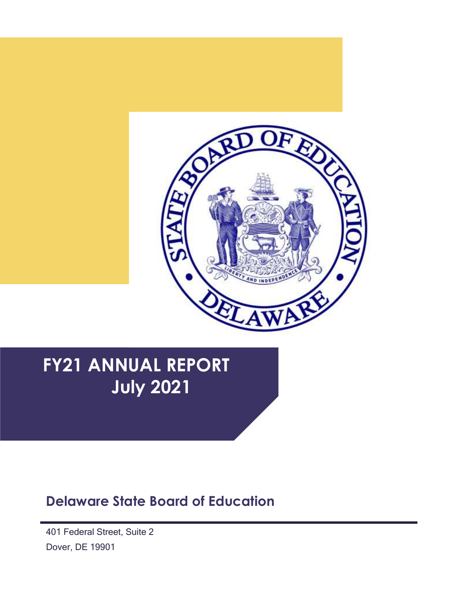

# **FY21 ANNUAL REPORT July 2021**

## **Delaware State Board of Education**

**(DR** 401 Federal Street, Suite 2 Dover, DE 19901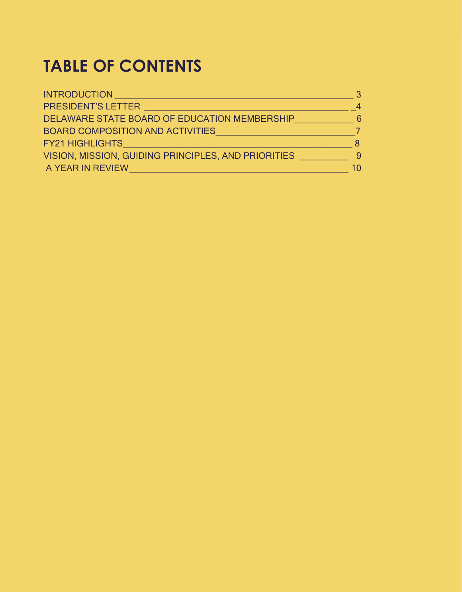# **TABLE OF CONTENTS**

| <b>INTRODUCTION</b>                                                              |              |
|----------------------------------------------------------------------------------|--------------|
| <b>PRESIDENT'S LETTER</b>                                                        | 4            |
| DELAWARE STATE BOARD OF EDUCATION MEMBERSHIP<br>BOARD COMPOSITION AND ACTIVITIES | <sup>6</sup> |
|                                                                                  |              |
| VISION, MISSION, GUIDING PRINCIPLES, AND PRIORITIES                              | 9            |
| A YEAR IN REVIEW                                                                 | 10           |
|                                                                                  |              |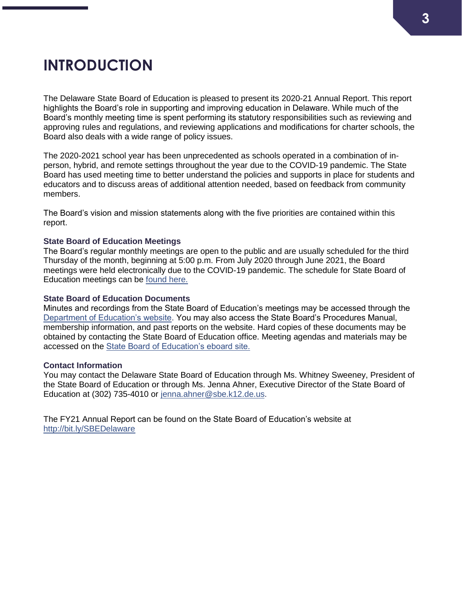# <span id="page-2-0"></span>**INTRODUCTION**

The Delaware State Board of Education is pleased to present its 2020-21 Annual Report. This report highlights the Board's role in supporting and improving education in Delaware. While much of the Board's monthly meeting time is spent performing its statutory responsibilities such as reviewing and approving rules and regulations, and reviewing applications and modifications for charter schools, the Board also deals with a wide range of policy issues.

The 2020-2021 school year has been unprecedented as schools operated in a combination of inperson, hybrid, and remote settings throughout the year due to the COVID-19 pandemic. The State Board has used meeting time to better understand the policies and supports in place for students and educators and to discuss areas of additional attention needed, based on feedback from community members.

The Board's vision and mission statements along with the five priorities are contained within this report.

### **State Board of Education Meetings**

The Board's regular monthly meetings are open to the public and are usually scheduled for the third Thursday of the month, beginning at 5:00 p.m. From July 2020 through June 2021, the Board meetings were held electronically due to the COVID-19 pandemic. The schedule for State Board of Education meetings can be [found here.](https://www.doe.k12.de.us/Page/1651)

### **State Board of Education Documents**

Minutes and recordings from the State Board of Education's meetings may be accessed through the [Department of Education's website.](https://www.doe.k12.de.us/Page/340) You may also access the State Board's Procedures Manual, membership information, and past reports on the website. Hard copies of these documents may be obtained by contacting the State Board of Education office. Meeting agendas and materials may be accessed on the [State Board of Education's eboard site.](https://simbli.eboardsolutions.com/SB_Meetings/SB_MeetingListing.aspx?S=190001)

### **Contact Information**

You may contact the Delaware State Board of Education through Ms. Whitney Sweeney, President of the State Board of Education or through Ms. Jenna Ahner, Executive Director of the State Board of Education at (302) 735-4010 or [jenna.ahner@sbe.k12.de.us.](mailto:jenna.ahner@sbe.k12.de.us)

The FY21 Annual Report can be found on the State Board of Education's website at <http://bit.ly/SBEDelaware>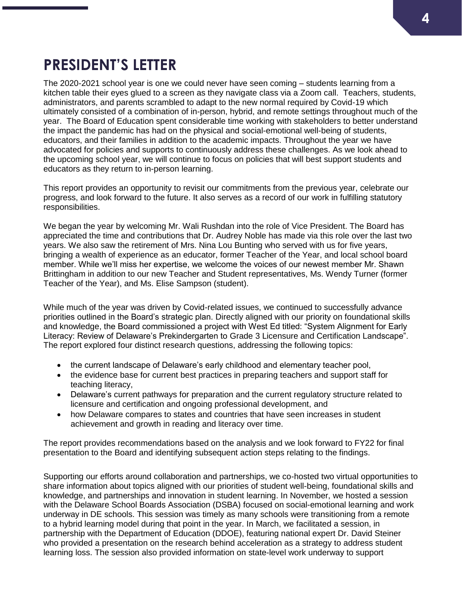# **PRESIDENT'S LETTER**

The 2020-2021 school year is one we could never have seen coming – students learning from a kitchen table their eyes glued to a screen as they navigate class via a Zoom call. Teachers, students, administrators, and parents scrambled to adapt to the new normal required by Covid-19 which ultimately consisted of a combination of in-person, hybrid, and remote settings throughout much of the year. The Board of Education spent considerable time working with stakeholders to better understand the impact the pandemic has had on the physical and social-emotional well-being of students, educators, and their families in addition to the academic impacts. Throughout the year we have advocated for policies and supports to continuously address these challenges. As we look ahead to the upcoming school year, we will continue to focus on policies that will best support students and educators as they return to in-person learning.

This report provides an opportunity to revisit our commitments from the previous year, celebrate our progress, and look forward to the future. It also serves as a record of our work in fulfilling statutory responsibilities.

We began the year by welcoming Mr. Wali Rushdan into the role of Vice President. The Board has appreciated the time and contributions that Dr. Audrey Noble has made via this role over the last two years. We also saw the retirement of Mrs. Nina Lou Bunting who served with us for five years, bringing a wealth of experience as an educator, former Teacher of the Year, and local school board member. While we'll miss her expertise, we welcome the voices of our newest member Mr. Shawn Brittingham in addition to our new Teacher and Student representatives, Ms. Wendy Turner (former Teacher of the Year), and Ms. Elise Sampson (student).

While much of the year was driven by Covid-related issues, we continued to successfully advance priorities outlined in the Board's strategic plan. Directly aligned with our priority on foundational skills and knowledge, the Board commissioned a project with West Ed titled: "System Alignment for Early Literacy: Review of Delaware's Prekindergarten to Grade 3 Licensure and Certification Landscape". The report explored four distinct research questions, addressing the following topics:

- the current landscape of Delaware's early childhood and elementary teacher pool,
- the evidence base for current best practices in preparing teachers and support staff for teaching literacy,
- Delaware's current pathways for preparation and the current regulatory structure related to licensure and certification and ongoing professional development, and
- how Delaware compares to states and countries that have seen increases in student achievement and growth in reading and literacy over time.

The report provides recommendations based on the analysis and we look forward to FY22 for final presentation to the Board and identifying subsequent action steps relating to the findings.

Supporting our efforts around collaboration and partnerships, we co-hosted two virtual opportunities to share information about topics aligned with our priorities of student well-being, foundational skills and knowledge, and partnerships and innovation in student learning. In November, we hosted a session with the Delaware School Boards Association (DSBA) focused on social-emotional learning and work underway in DE schools. This session was timely as many schools were transitioning from a remote to a hybrid learning model during that point in the year. In March, we facilitated a session, in partnership with the Department of Education (DDOE), featuring national expert Dr. David Steiner who provided a presentation on the research behind acceleration as a strategy to address student learning loss. The session also provided information on state-level work underway to support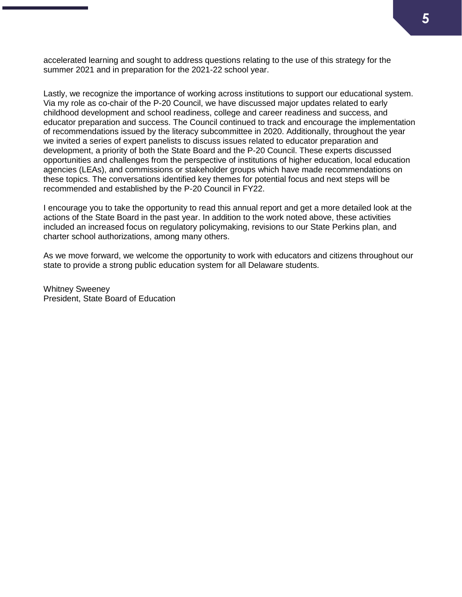accelerated learning and sought to address questions relating to the use of this strategy for the summer 2021 and in preparation for the 2021-22 school year.

Lastly, we recognize the importance of working across institutions to support our educational system. Via my role as co-chair of the P-20 Council, we have discussed major updates related to early childhood development and school readiness, college and career readiness and success, and educator preparation and success. The Council continued to track and encourage the implementation of recommendations issued by the literacy subcommittee in 2020. Additionally, throughout the year we invited a series of expert panelists to discuss issues related to educator preparation and development, a priority of both the State Board and the P-20 Council. These experts discussed opportunities and challenges from the perspective of institutions of higher education, local education agencies (LEAs), and commissions or stakeholder groups which have made recommendations on these topics. The conversations identified key themes for potential focus and next steps will be recommended and established by the P-20 Council in FY22.

I encourage you to take the opportunity to read this annual report and get a more detailed look at the actions of the State Board in the past year. In addition to the work noted above, these activities included an increased focus on regulatory policymaking, revisions to our State Perkins plan, and charter school authorizations, among many others.

As we move forward, we welcome the opportunity to work with educators and citizens throughout our state to provide a strong public education system for all Delaware students.

Whitney Sweeney President, State Board of Education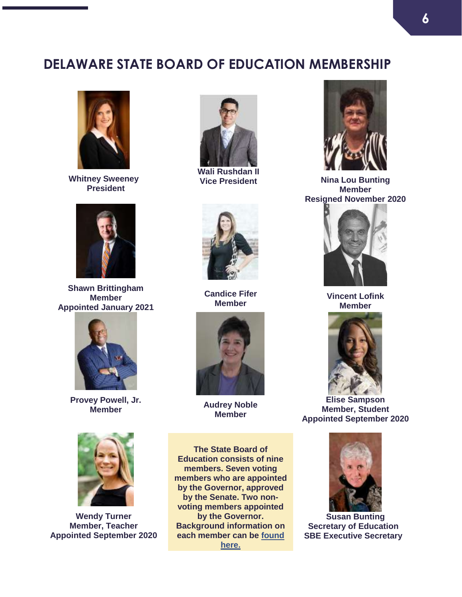### **DELAWARE STATE BOARD OF EDUCATION MEMBERSHIP**



**Whitney Sweeney President**



**Shawn Brittingham Member Appointed January 2021**



**Provey Powell, Jr. Member Audrey Noble**



**Wendy Turner Member, Teacher Appointed September 2020**



**Wali Rushdan II**



**Candice Fifer Member**



**Member**

**The State Board of Education consists of nine members. Seven voting members who are appointed by the Governor, approved by the Senate. Two nonvoting members appointed by the Governor. Background information on each member can be [found](https://simbli.eboardsolutions.com/AboutUs/AboutUs.aspx?S=190001&TID=1)  [here.](https://simbli.eboardsolutions.com/AboutUs/AboutUs.aspx?S=190001&TID=1)**



**Vice President Nina Lou Bunting Member Resigned November 2020**



**Vincent Lofink Member**



**Elise Sampson Member, Student Appointed September 2020**



**Susan Bunting Secretary of Education SBE Executive Secretary**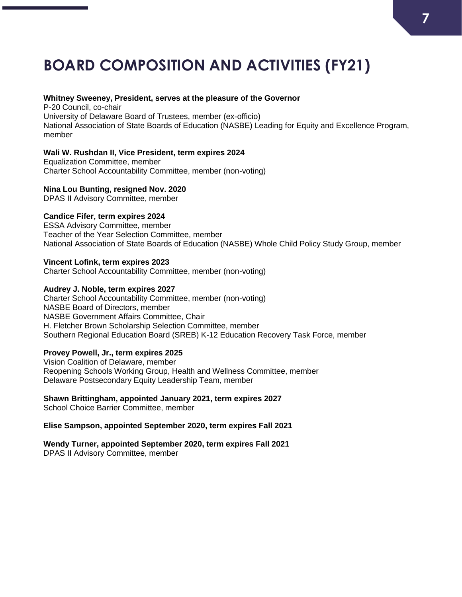# **BOARD COMPOSITION AND ACTIVITIES (FY21)**

#### **Whitney Sweeney, President, serves at the pleasure of the Governor**

P-20 Council, co-chair University of Delaware Board of Trustees, member (ex-officio) National Association of State Boards of Education (NASBE) Leading for Equity and Excellence Program, member

### **Wali W. Rushdan II, Vice President, term expires 2024**

Equalization Committee, member Charter School Accountability Committee, member (non-voting)

### **Nina Lou Bunting, resigned Nov. 2020**

DPAS II Advisory Committee, member

### **Candice Fifer, term expires 2024**

ESSA Advisory Committee, member Teacher of the Year Selection Committee, member National Association of State Boards of Education (NASBE) Whole Child Policy Study Group, member

### **Vincent Lofink, term expires 2023**

Charter School Accountability Committee, member (non-voting)

### **Audrey J. Noble, term expires 2027**

Charter School Accountability Committee, member (non-voting) NASBE Board of Directors, member NASBE Government Affairs Committee, Chair H. Fletcher Brown Scholarship Selection Committee, member Southern Regional Education Board (SREB) K-12 Education Recovery Task Force, member

### **Provey Powell, Jr., term expires 2025**

Vision Coalition of Delaware, member Reopening Schools Working Group, Health and Wellness Committee, member Delaware Postsecondary Equity Leadership Team, member

### **Shawn Brittingham, appointed January 2021, term expires 2027**

School Choice Barrier Committee, member

### **Elise Sampson, appointed September 2020, term expires Fall 2021**

**Wendy Turner, appointed September 2020, term expires Fall 2021** DPAS II Advisory Committee, member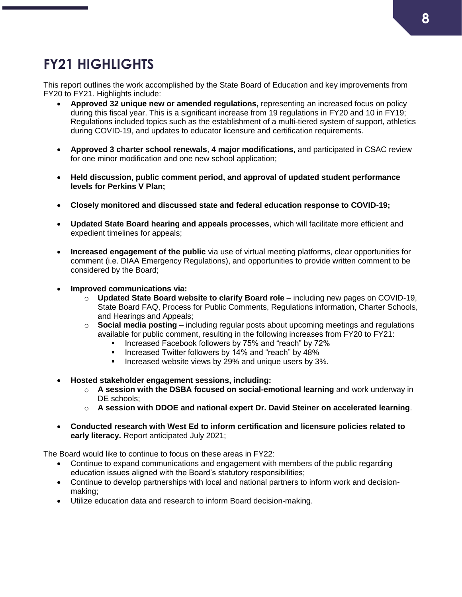## **FY21 HIGHLIGHTS**

This report outlines the work accomplished by the State Board of Education and key improvements from FY20 to FY21. Highlights include:

- **Approved 32 unique new or amended regulations,** representing an increased focus on policy during this fiscal year. This is a significant increase from 19 regulations in FY20 and 10 in FY19; Regulations included topics such as the establishment of a multi-tiered system of support, athletics during COVID-19, and updates to educator licensure and certification requirements.
- **Approved 3 charter school renewals**, **4 major modifications**, and participated in CSAC review for one minor modification and one new school application;
- **Held discussion, public comment period, and approval of updated student performance levels for Perkins V Plan;**
- **Closely monitored and discussed state and federal education response to COVID-19;**
- **Updated State Board hearing and appeals processes**, which will facilitate more efficient and expedient timelines for appeals;
- **Increased engagement of the public** via use of virtual meeting platforms, clear opportunities for comment (i.e. DIAA Emergency Regulations), and opportunities to provide written comment to be considered by the Board;
- **Improved communications via:** 
	- o **Updated State Board website to clarify Board role**  including new pages on COVID-19, State Board FAQ, Process for Public Comments, Regulations information, Charter Schools, and Hearings and Appeals;
	- o **Social media posting**  including regular posts about upcoming meetings and regulations available for public comment, resulting in the following increases from FY20 to FY21:
		- Increased Facebook followers by 75% and "reach" by 72%
		- Increased Twitter followers by 14% and "reach" by 48%
		- Increased website views by 29% and unique users by 3%.
- **Hosted stakeholder engagement sessions, including:** 
	- o **A session with the DSBA focused on social-emotional learning** and work underway in DE schools:
	- o **A session with DDOE and national expert Dr. David Steiner on accelerated learning**.
- **Conducted research with West Ed to inform certification and licensure policies related to early literacy.** Report anticipated July 2021;

The Board would like to continue to focus on these areas in FY22:

- Continue to expand communications and engagement with members of the public regarding education issues aligned with the Board's statutory responsibilities;
- Continue to develop partnerships with local and national partners to inform work and decisionmaking;
- Utilize education data and research to inform Board decision-making.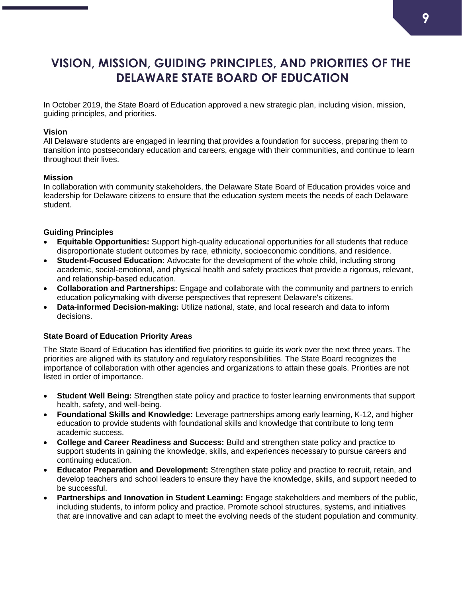### **VISION, MISSION, GUIDING PRINCIPLES, AND PRIORITIES OF THE DELAWARE STATE BOARD OF EDUCATION**

In October 2019, the State Board of Education approved a new strategic plan, including vision, mission, guiding principles, and priorities.

### **Vision**

All Delaware students are engaged in learning that provides a foundation for success, preparing them to transition into postsecondary education and careers, engage with their communities, and continue to learn throughout their lives.

### **Mission**

In collaboration with community stakeholders, the Delaware State Board of Education provides voice and leadership for Delaware citizens to ensure that the education system meets the needs of each Delaware student.

### **Guiding Principles**

- **Equitable Opportunities:** Support high-quality educational opportunities for all students that reduce disproportionate student outcomes by race, ethnicity, socioeconomic conditions, and residence.
- **Student-Focused Education:** Advocate for the development of the whole child, including strong academic, social-emotional, and physical health and safety practices that provide a rigorous, relevant, and relationship-based education.
- **Collaboration and Partnerships:** Engage and collaborate with the community and partners to enrich education policymaking with diverse perspectives that represent Delaware's citizens.
- **Data-informed Decision-making:** Utilize national, state, and local research and data to inform decisions.

### **State Board of Education Priority Areas**

The State Board of Education has identified five priorities to guide its work over the next three years. The priorities are aligned with its statutory and regulatory responsibilities. The State Board recognizes the importance of collaboration with other agencies and organizations to attain these goals. Priorities are not listed in order of importance.

- **Student Well Being:** Strengthen state policy and practice to foster learning environments that support health, safety, and well-being.
- **Foundational Skills and Knowledge:** Leverage partnerships among early learning, K-12, and higher education to provide students with foundational skills and knowledge that contribute to long term academic success.
- **College and Career Readiness and Success:** Build and strengthen state policy and practice to support students in gaining the knowledge, skills, and experiences necessary to pursue careers and continuing education.
- **Educator Preparation and Development:** Strengthen state policy and practice to recruit, retain, and develop teachers and school leaders to ensure they have the knowledge, skills, and support needed to be successful.
- **Partnerships and Innovation in Student Learning:** Engage stakeholders and members of the public, including students, to inform policy and practice. Promote school structures, systems, and initiatives that are innovative and can adapt to meet the evolving needs of the student population and community.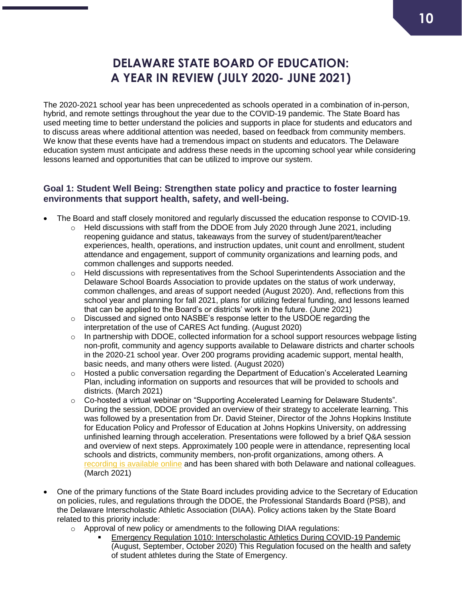### **DELAWARE STATE BOARD OF EDUCATION: A YEAR IN REVIEW (JULY 2020- JUNE 2021)**

The 2020-2021 school year has been unprecedented as schools operated in a combination of in-person, hybrid, and remote settings throughout the year due to the COVID-19 pandemic. The State Board has used meeting time to better understand the policies and supports in place for students and educators and to discuss areas where additional attention was needed, based on feedback from community members. We know that these events have had a tremendous impact on students and educators. The Delaware education system must anticipate and address these needs in the upcoming school year while considering lessons learned and opportunities that can be utilized to improve our system.

### **Goal 1: Student Well Being: Strengthen state policy and practice to foster learning environments that support health, safety, and well-being.**

- The Board and staff closely monitored and regularly discussed the education response to COVID-19.
	- $\circ$  Held discussions with staff from the DDOE from July 2020 through June 2021, including reopening guidance and status, takeaways from the survey of student/parent/teacher experiences, health, operations, and instruction updates, unit count and enrollment, student attendance and engagement, support of community organizations and learning pods, and common challenges and supports needed.
	- $\circ$  Held discussions with representatives from the School Superintendents Association and the Delaware School Boards Association to provide updates on the status of work underway, common challenges, and areas of support needed (August 2020). And, reflections from this school year and planning for fall 2021, plans for utilizing federal funding, and lessons learned that can be applied to the Board's or districts' work in the future. (June 2021)
	- o Discussed and signed onto NASBE's response letter to the USDOE regarding the interpretation of the use of CARES Act funding. (August 2020)
	- o In partnership with DDOE, collected information for a school support resources webpage listing non-profit, community and agency supports available to Delaware districts and charter schools in the 2020-21 school year. Over 200 programs providing academic support, mental health, basic needs, and many others were listed. (August 2020)
	- o Hosted a public conversation regarding the Department of Education's Accelerated Learning Plan, including information on supports and resources that will be provided to schools and districts. (March 2021)
	- o Co-hosted a virtual webinar on "Supporting Accelerated Learning for Delaware Students". During the session, DDOE provided an overview of their strategy to accelerate learning. This was followed by a presentation from Dr. David Steiner, Director of the Johns Hopkins Institute for Education Policy and Professor of Education at Johns Hopkins University, on addressing unfinished learning through acceleration. Presentations were followed by a brief Q&A session and overview of next steps. Approximately 100 people were in attendance, representing local schools and districts, community members, non-profit organizations, among others. A [recording is available online](https://www.youtube.com/watch?v=F8rfT1xwSAk&t=2s) and has been shared with both Delaware and national colleagues. (March 2021)
- One of the primary functions of the State Board includes providing advice to the Secretary of Education on policies, rules, and regulations through the DDOE, the Professional Standards Board (PSB), and the Delaware Interscholastic Athletic Association (DIAA). Policy actions taken by the State Board related to this priority include:
	- o Approval of new policy or amendments to the following DIAA regulations:
		- Emergency Regulation 1010: Interscholastic Athletics During COVID-19 Pandemic (August, September, October 2020) This Regulation focused on the health and safety of student athletes during the State of Emergency.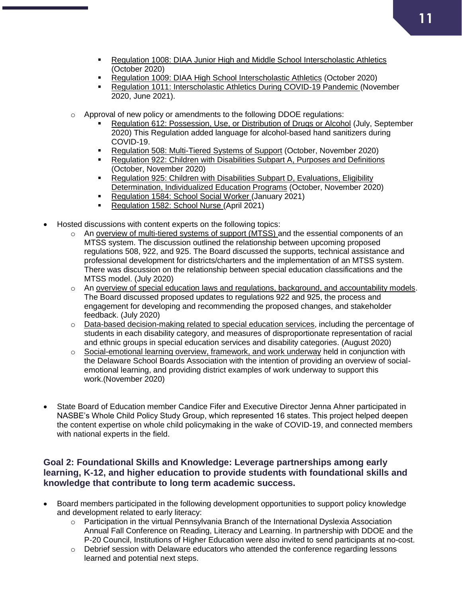- Regulation 1008: DIAA Junior High and Middle School Interscholastic Athletics (October 2020)
- Regulation 1009: DIAA High School Interscholastic Athletics (October 2020)
- Regulation 1011: Interscholastic Athletics During COVID-19 Pandemic (November 2020, June 2021).
- o Approval of new policy or amendments to the following DDOE regulations:
	- Regulation 612: Possession, Use, or Distribution of Drugs or Alcohol (July, September 2020) This Regulation added language for alcohol-based hand sanitizers during COVID-19.
	- Regulation 508: Multi-Tiered Systems of Support (October, November 2020)
	- Regulation 922: Children with Disabilities Subpart A, Purposes and Definitions (October, November 2020)
	- **Regulation 925: Children with Disabilities Subpart D, Evaluations, Eligibility** Determination, Individualized Education Programs (October, November 2020)
	- Regulation 1584: School Social Worker (January 2021)
	- Regulation 1582: School Nurse (April 2021)
- Hosted discussions with content experts on the following topics:
	- o An overview of multi-tiered systems of support (MTSS) and the essential components of an MTSS system. The discussion outlined the relationship between upcoming proposed regulations 508, 922, and 925. The Board discussed the supports, technical assistance and professional development for districts/charters and the implementation of an MTSS system. There was discussion on the relationship between special education classifications and the MTSS model. (July 2020)
	- $\circ$  An overview of special education laws and regulations, background, and accountability models. The Board discussed proposed updates to regulations 922 and 925, the process and engagement for developing and recommending the proposed changes, and stakeholder feedback. (July 2020)
	- o Data-based decision-making related to special education services, including the percentage of students in each disability category, and measures of disproportionate representation of racial and ethnic groups in special education services and disability categories. (August 2020)
	- $\circ$  Social-emotional learning overview, framework, and work underway held in conjunction with the Delaware School Boards Association with the intention of providing an overview of socialemotional learning, and providing district examples of work underway to support this work.(November 2020)
- State Board of Education member Candice Fifer and Executive Director Jenna Ahner participated in NASBE's Whole Child Policy Study Group, which represented 16 states. This project helped deepen the content expertise on whole child policymaking in the wake of COVID-19, and connected members with national experts in the field.

### **Goal 2: Foundational Skills and Knowledge: Leverage partnerships among early learning, K-12, and higher education to provide students with foundational skills and knowledge that contribute to long term academic success.**

- Board members participated in the following development opportunities to support policy knowledge and development related to early literacy:
	- o Participation in the virtual Pennsylvania Branch of the International Dyslexia Association Annual Fall Conference on Reading, Literacy and Learning. In partnership with DDOE and the P-20 Council, Institutions of Higher Education were also invited to send participants at no-cost.
	- $\circ$  Debrief session with Delaware educators who attended the conference regarding lessons learned and potential next steps.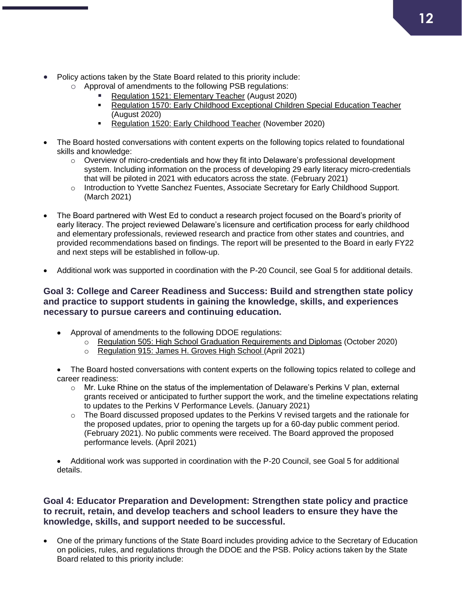- Policy actions taken by the State Board related to this priority include:
	- o Approval of amendments to the following PSB regulations:
		- Regulation 1521: Elementary Teacher (August 2020)
		- Regulation 1570: Early Childhood Exceptional Children Special Education Teacher (August 2020)
		- Regulation 1520: Early Childhood Teacher (November 2020)
- The Board hosted conversations with content experts on the following topics related to foundational skills and knowledge:
	- $\circ$  Overview of micro-credentials and how they fit into Delaware's professional development system. Including information on the process of developing 29 early literacy micro-credentials that will be piloted in 2021 with educators across the state. (February 2021)
	- o Introduction to Yvette Sanchez Fuentes, Associate Secretary for Early Childhood Support. (March 2021)
- The Board partnered with West Ed to conduct a research project focused on the Board's priority of early literacy. The project reviewed Delaware's licensure and certification process for early childhood and elementary professionals, reviewed research and practice from other states and countries, and provided recommendations based on findings. The report will be presented to the Board in early FY22 and next steps will be established in follow-up.
- Additional work was supported in coordination with the P-20 Council, see Goal 5 for additional details.

### **Goal 3: College and Career Readiness and Success: Build and strengthen state policy and practice to support students in gaining the knowledge, skills, and experiences necessary to pursue careers and continuing education.**

- Approval of amendments to the following DDOE regulations:
	- o Regulation 505: High School Graduation Requirements and Diplomas (October 2020)
	- o Regulation 915: James H. Groves High School (April 2021)

• The Board hosted conversations with content experts on the following topics related to college and career readiness:

- $\circ$  Mr. Luke Rhine on the status of the implementation of Delaware's Perkins V plan, external grants received or anticipated to further support the work, and the timeline expectations relating to updates to the Perkins V Performance Levels. (January 2021)
- $\circ$  The Board discussed proposed updates to the Perkins V revised targets and the rationale for the proposed updates, prior to opening the targets up for a 60-day public comment period. (February 2021). No public comments were received. The Board approved the proposed performance levels. (April 2021)
- Additional work was supported in coordination with the P-20 Council, see Goal 5 for additional details.

### **Goal 4: Educator Preparation and Development: Strengthen state policy and practice to recruit, retain, and develop teachers and school leaders to ensure they have the knowledge, skills, and support needed to be successful.**

 One of the primary functions of the State Board includes providing advice to the Secretary of Education on policies, rules, and regulations through the DDOE and the PSB. Policy actions taken by the State Board related to this priority include: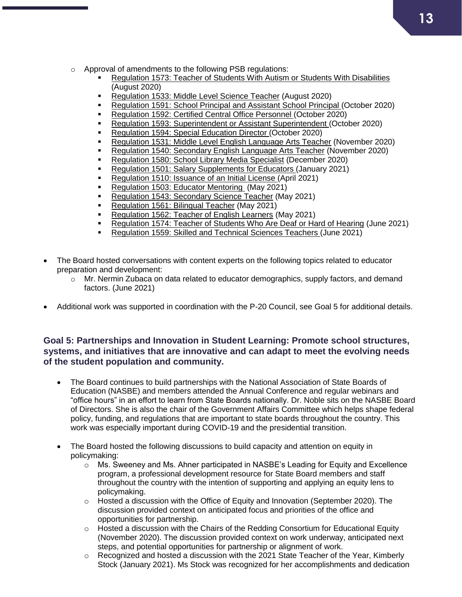- o Approval of amendments to the following PSB regulations:
	- Regulation 1573: Teacher of Students With Autism or Students With Disabilities (August 2020)
	- Regulation 1533: Middle Level Science Teacher (August 2020)
	- Regulation 1591: School Principal and Assistant School Principal (October 2020)
	- Regulation 1592: Certified Central Office Personnel (October 2020)
	- Regulation 1593: Superintendent or Assistant Superintendent (October 2020)
	- Regulation 1594: Special Education Director (October 2020)
	- Regulation 1531: Middle Level English Language Arts Teacher (November 2020)
	- Regulation 1540: Secondary English Language Arts Teacher (November 2020)
	- **Regulation 1580: School Library Media Specialist (December 2020)**
	- Regulation 1501: Salary Supplements for Educators (January 2021)
	- Regulation 1510: Issuance of an Initial License (April 2021)
	- Regulation 1503: Educator Mentoring (May 2021)
	- Regulation 1543: Secondary Science Teacher (May 2021)
	- Regulation 1561: Bilingual Teacher (May 2021)
	- Regulation 1562: Teacher of English Learners (May 2021)
	- Regulation 1574: Teacher of Students Who Are Deaf or Hard of Hearing (June 2021)
	- Regulation 1559: Skilled and Technical Sciences Teachers (June 2021)
- The Board hosted conversations with content experts on the following topics related to educator preparation and development:
	- $\circ$  Mr. Nermin Zubaca on data related to educator demographics, supply factors, and demand factors. (June 2021)
- Additional work was supported in coordination with the P-20 Council, see Goal 5 for additional details.

### **Goal 5: Partnerships and Innovation in Student Learning: Promote school structures, systems, and initiatives that are innovative and can adapt to meet the evolving needs of the student population and community.**

- The Board continues to build partnerships with the National Association of State Boards of Education (NASBE) and members attended the Annual Conference and regular webinars and "office hours" in an effort to learn from State Boards nationally. Dr. Noble sits on the NASBE Board of Directors. She is also the chair of the Government Affairs Committee which helps shape federal policy, funding, and regulations that are important to state boards throughout the country. This work was especially important during COVID-19 and the presidential transition.
- The Board hosted the following discussions to build capacity and attention on equity in policymaking:
	- o Ms. Sweeney and Ms. Ahner participated in NASBE's Leading for Equity and Excellence program, a professional development resource for State Board members and staff throughout the country with the intention of supporting and applying an equity lens to policymaking.
	- $\circ$  Hosted a discussion with the Office of Equity and Innovation (September 2020). The discussion provided context on anticipated focus and priorities of the office and opportunities for partnership.
	- $\circ$  Hosted a discussion with the Chairs of the Redding Consortium for Educational Equity (November 2020). The discussion provided context on work underway, anticipated next steps, and potential opportunities for partnership or alignment of work.
	- $\circ$  Recognized and hosted a discussion with the 2021 State Teacher of the Year, Kimberly Stock (January 2021). Ms Stock was recognized for her accomplishments and dedication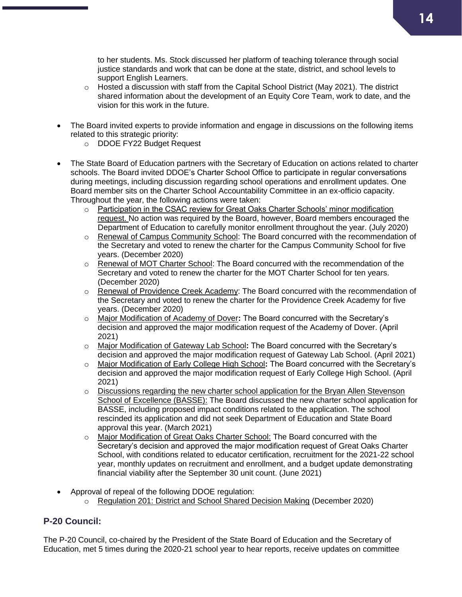to her students. Ms. Stock discussed her platform of teaching tolerance through social justice standards and work that can be done at the state, district, and school levels to support English Learners.

- $\circ$  Hosted a discussion with staff from the Capital School District (May 2021). The district shared information about the development of an Equity Core Team, work to date, and the vision for this work in the future.
- The Board invited experts to provide information and engage in discussions on the following items related to this strategic priority:
	- o DDOE FY22 Budget Request
- The State Board of Education partners with the Secretary of Education on actions related to charter schools. The Board invited DDOE's Charter School Office to participate in regular conversations during meetings, including discussion regarding school operations and enrollment updates. One Board member sits on the Charter School Accountability Committee in an ex-officio capacity. Throughout the year, the following actions were taken:
	- o Participation in the CSAC review for Great Oaks Charter Schools' minor modification request. No action was required by the Board, however, Board members encouraged the Department of Education to carefully monitor enrollment throughout the year. (July 2020)
	- $\circ$  Renewal of Campus Community School: The Board concurred with the recommendation of the Secretary and voted to renew the charter for the Campus Community School for five years. (December 2020)
	- o Renewal of MOT Charter School: The Board concurred with the recommendation of the Secretary and voted to renew the charter for the MOT Charter School for ten years. (December 2020)
	- o Renewal of Providence Creek Academy: The Board concurred with the recommendation of the Secretary and voted to renew the charter for the Providence Creek Academy for five years. (December 2020)
	- o Major Modification of Academy of Dover**:** The Board concurred with the Secretary's decision and approved the major modification request of the Academy of Dover. (April 2021)
	- o Major Modification of Gateway Lab School**:** The Board concurred with the Secretary's decision and approved the major modification request of Gateway Lab School. (April 2021)
	- o Major Modification of Early College High School**:** The Board concurred with the Secretary's decision and approved the major modification request of Early College High School. (April 2021)
	- $\circ$  Discussions regarding the new charter school application for the Bryan Allen Stevenson School of Excellence (BASSE): The Board discussed the new charter school application for BASSE, including proposed impact conditions related to the application. The school rescinded its application and did not seek Department of Education and State Board approval this year. (March 2021)
	- o Major Modification of Great Oaks Charter School: The Board concurred with the Secretary's decision and approved the major modification request of Great Oaks Charter School, with conditions related to educator certification, recruitment for the 2021-22 school year, monthly updates on recruitment and enrollment, and a budget update demonstrating financial viability after the September 30 unit count. (June 2021)
- Approval of repeal of the following DDOE regulation:
	- o Regulation 201: District and School Shared Decision Making (December 2020)

### **P-20 Council:**

The P-20 Council, co-chaired by the President of the State Board of Education and the Secretary of Education, met 5 times during the 2020-21 school year to hear reports, receive updates on committee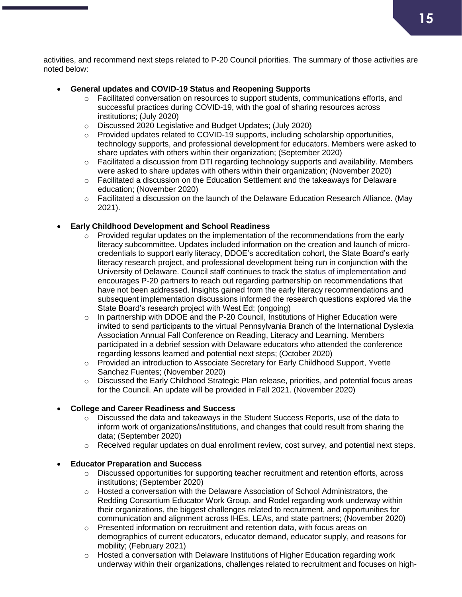activities, and recommend next steps related to P-20 Council priorities. The summary of those activities are noted below:

### **General updates and COVID-19 Status and Reopening Supports**

- o Facilitated conversation on resources to support students, communications efforts, and successful practices during COVID-19, with the goal of sharing resources across institutions; (July 2020)
- o Discussed 2020 Legislative and Budget Updates; (July 2020)
- $\circ$  Provided updates related to COVID-19 supports, including scholarship opportunities, technology supports, and professional development for educators. Members were asked to share updates with others within their organization; (September 2020)
- o Facilitated a discussion from DTI regarding technology supports and availability. Members were asked to share updates with others within their organization; (November 2020)
- $\circ$  Facilitated a discussion on the Education Settlement and the takeaways for Delaware education; (November 2020)
- $\circ$  Facilitated a discussion on the launch of the Delaware Education Research Alliance. (May 2021).

### **Early Childhood Development and School Readiness**

- $\circ$  Provided regular updates on the implementation of the recommendations from the early literacy subcommittee. Updates included information on the creation and launch of microcredentials to support early literacy, DDOE's accreditation cohort, the State Board's early literacy research project, and professional development being run in conjunction with the University of Delaware. Council staff continues to track the status of implementation and encourages P-20 partners to reach out regarding partnership on recommendations that have not been addressed. Insights gained from the early literacy recommendations and subsequent implementation discussions informed the research questions explored via the State Board's research project with West Ed; (ongoing)
- $\circ$  In partnership with DDOE and the P-20 Council, Institutions of Higher Education were invited to send participants to the virtual Pennsylvania Branch of the International Dyslexia Association Annual Fall Conference on Reading, Literacy and Learning. Members participated in a debrief session with Delaware educators who attended the conference regarding lessons learned and potential next steps; (October 2020)
- o Provided an introduction to Associate Secretary for Early Childhood Support, Yvette Sanchez Fuentes; (November 2020)
- o Discussed the Early Childhood Strategic Plan release, priorities, and potential focus areas for the Council. An update will be provided in Fall 2021. (November 2020)

### **College and Career Readiness and Success**

- $\circ$  Discussed the data and takeaways in the Student Success Reports, use of the data to inform work of organizations/institutions, and changes that could result from sharing the data; (September 2020)
- o Received regular updates on dual enrollment review, cost survey, and potential next steps.

### **Educator Preparation and Success**

- o Discussed opportunities for supporting teacher recruitment and retention efforts, across institutions; (September 2020)
- $\circ$  Hosted a conversation with the Delaware Association of School Administrators, the Redding Consortium Educator Work Group, and Rodel regarding work underway within their organizations, the biggest challenges related to recruitment, and opportunities for communication and alignment across IHEs, LEAs, and state partners; (November 2020)
- $\circ$  Presented information on recruitment and retention data, with focus areas on demographics of current educators, educator demand, educator supply, and reasons for mobility; (February 2021)
- $\circ$  Hosted a conversation with Delaware Institutions of Higher Education regarding work underway within their organizations, challenges related to recruitment and focuses on high-